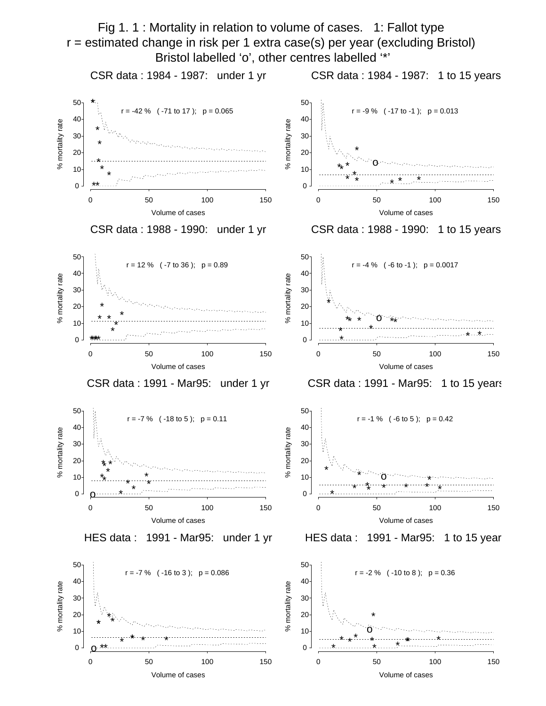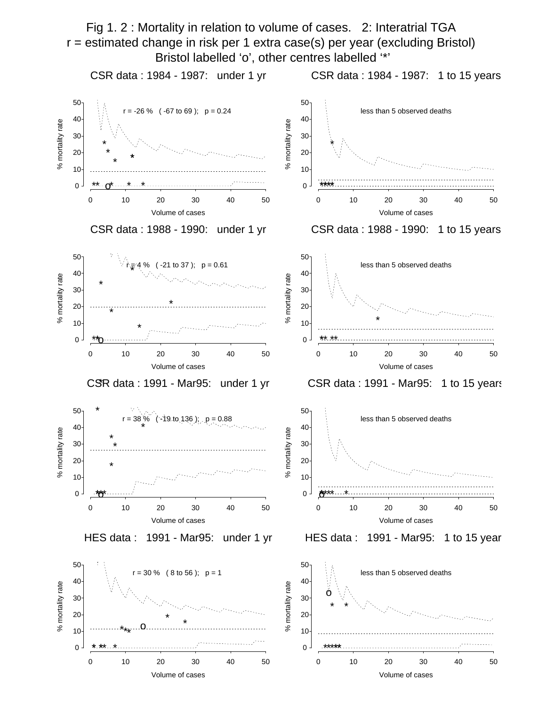Fig 1. 2 : Mortality in relation to volume of cases. 2: Interatrial TGA r = estimated change in risk per 1 extra case(s) per year (excluding Bristol) Bristol labelled 'o', other centres labelled '\*'

CSR data : 1984 - 1987: under 1 yr

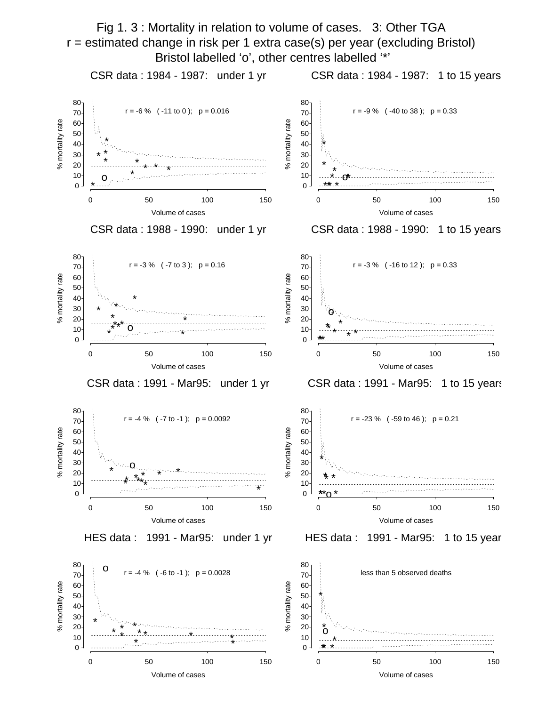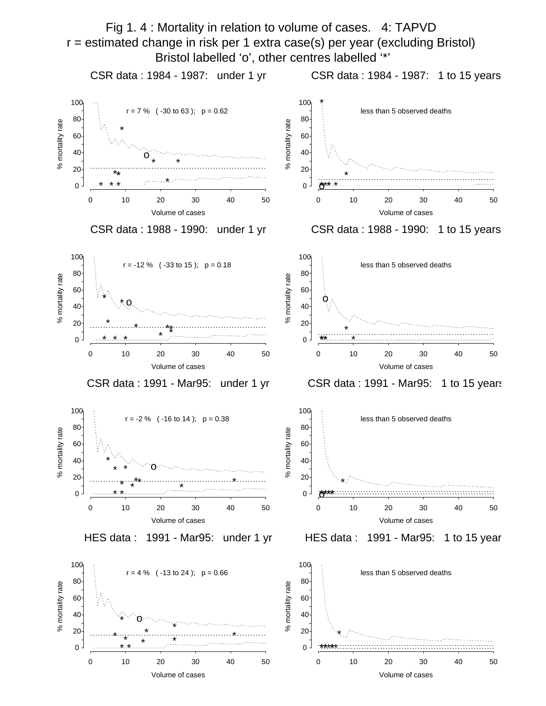

Volume of cases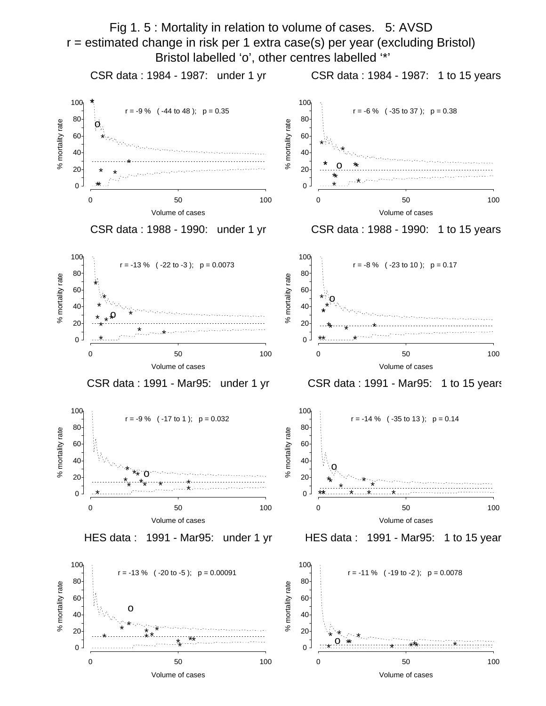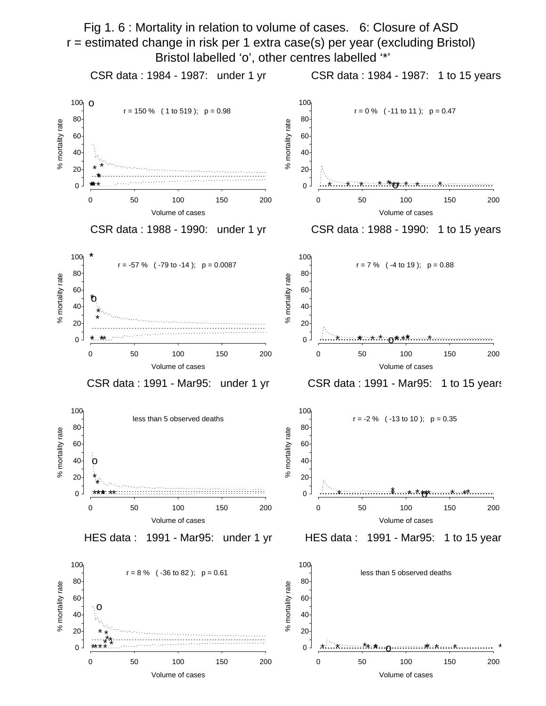

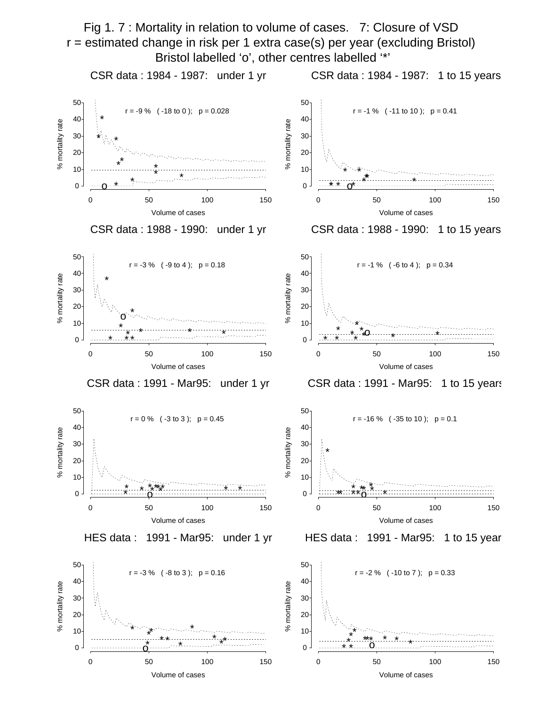Fig 1. 7 : Mortality in relation to volume of cases. 7: Closure of VSD r = estimated change in risk per 1 extra case(s) per year (excluding Bristol) Bristol labelled 'o', other centres labelled '\*'

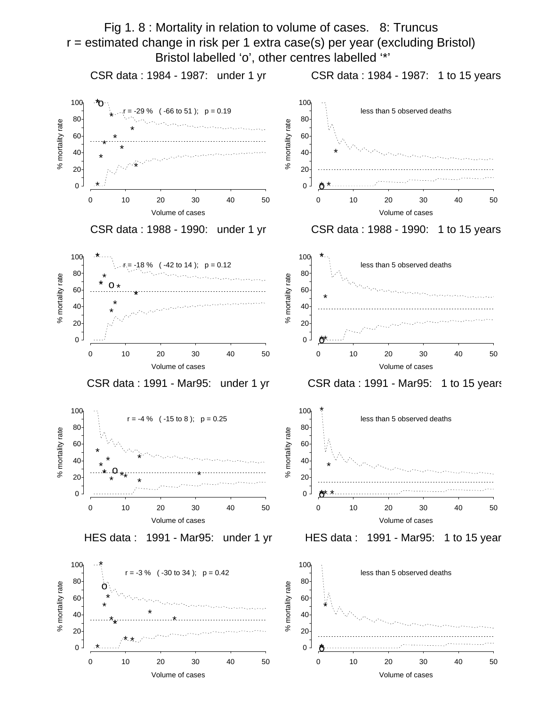

Volume of cases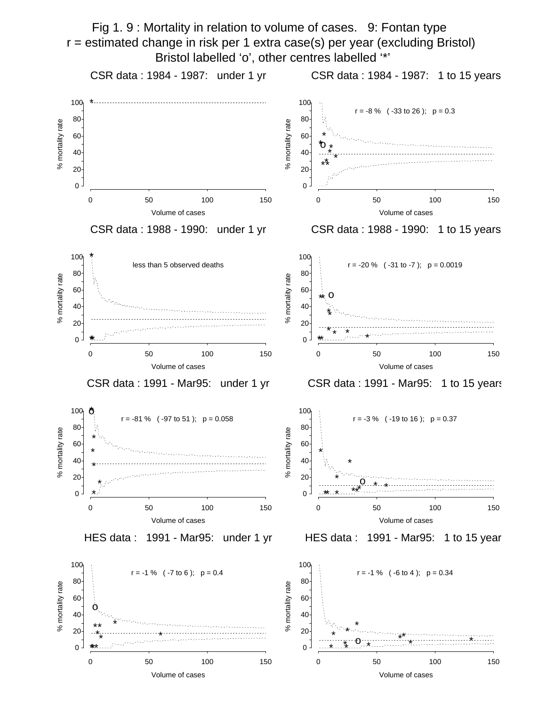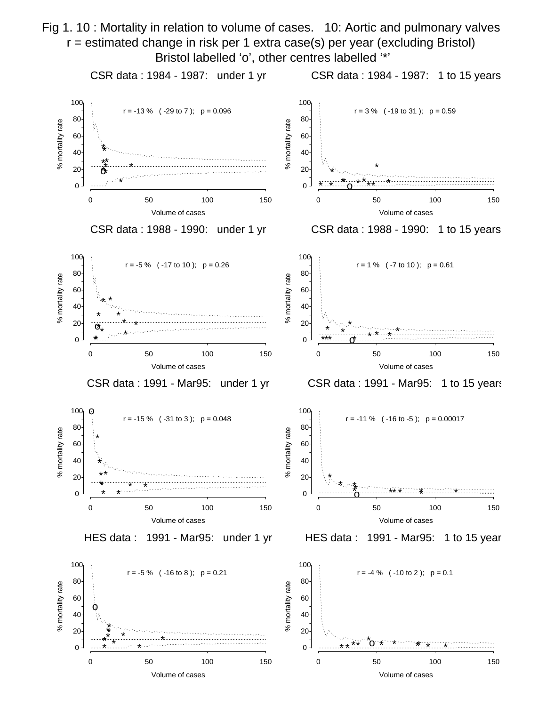Fig 1. 10 : Mortality in relation to volume of cases. 10: Aortic and pulmonary valves r = estimated change in risk per 1 extra case(s) per year (excluding Bristol) Bristol labelled 'o', other centres labelled '\*'

CSR data : 1984 - 1987: under 1 yr

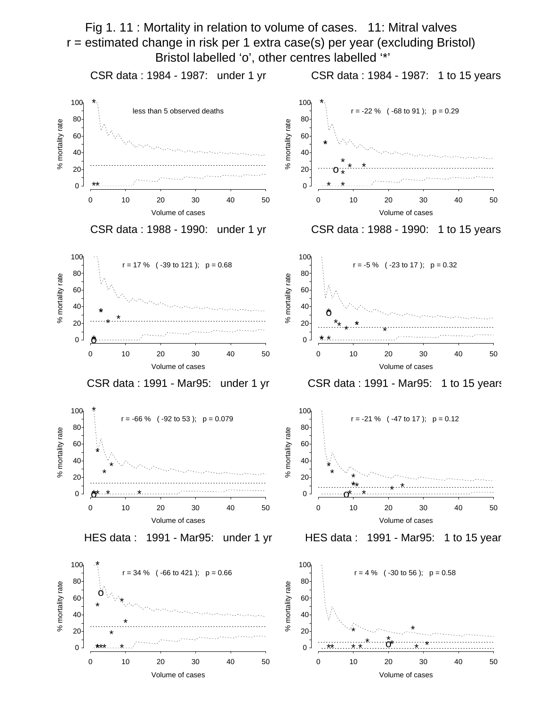Fig 1. 11 : Mortality in relation to volume of cases. 11: Mitral valves r = estimated change in risk per 1 extra case(s) per year (excluding Bristol) Bristol labelled 'o', other centres labelled '\*'

CSR data : 1984 - 1987: under 1 yr CSR data : 1984 - 1987: 1 to 15 years \* \* 100 100 less than 5 observed deaths  $r = -22$  % ( $-68$  to 91);  $p = 0.29$ 80 80 % mortality rate % mortality rate % mortality rate % mortality rate 60 60 \* 40 40 \* \* \* 20 20 o \* \*\* \* \* 0 0 0 10 20 30 40 50 0 10 20 30 40 50 Volume of cases Volume of cases CSR data : 1988 - 1990: under 1 yr CSR data : 1988 - 1990: 1 to 15 years 100 100  $r = 17$  % ( $-39$  to 121);  $p = 0.68$ r = -5 % ( -23 to 17 ); p = 0.32 80 80 mortality rate % mortality rate % mortality rate % mortality rate 60 60 40 40 \* o \* \* ى<br>ج 20 \* 20 \* \* \* \* \* 0  $0<sup>-1</sup>$ o\* \*\* \* 0 10 20 30 40 50 0 10 20 30 40 50 Volume of cases Volume of cases CSR data : 1991 - Mar95: under 1 yr CSR data : 1991 - Mar95: 1 to 15 years \* 100 100  $r = -66$  % ( $-92$  to 53);  $p = 0.079$ r = -21 % ( -47 to 17 ); p = 0.12 80 80 % mortality rate mortality rate % mortality rate % mortality rate 60 60 \* 40 40 \* \* \* \* ಸಿ \* 20 20 \*\* \* \*  $0 \cdot$ o\*\* <u>\* \* …… \*</u> \* 0 o \* \* 0 10 20 30 40 50 0 10 20 30 40 50 Volume of cases Volume of cases HES data : 1991 - Mar95: under 1 yr HES data : 1991 - Mar95: 1 to 15 year 100 \* 100

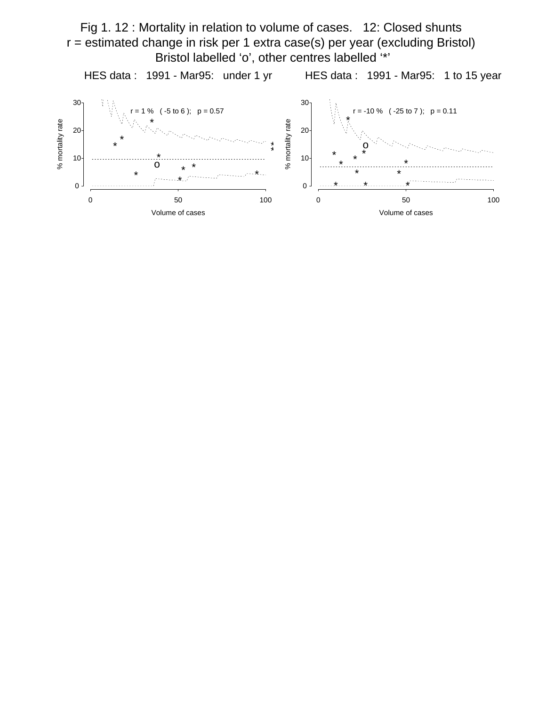Fig 1. 12 : Mortality in relation to volume of cases. 12: Closed shunts r = estimated change in risk per 1 extra case(s) per year (excluding Bristol) Bristol labelled 'o', other centres labelled '\*'

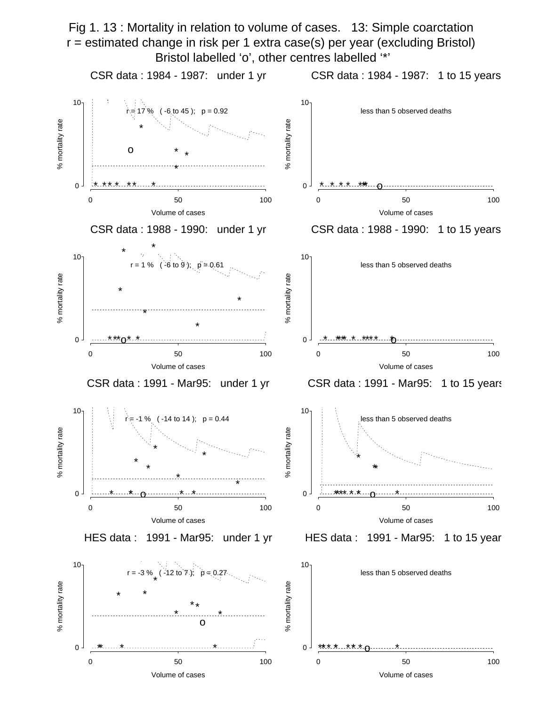Fig 1. 13 : Mortality in relation to volume of cases. 13: Simple coarctation r = estimated change in risk per 1 extra case(s) per year (excluding Bristol) Bristol labelled 'o', other centres labelled '\*'

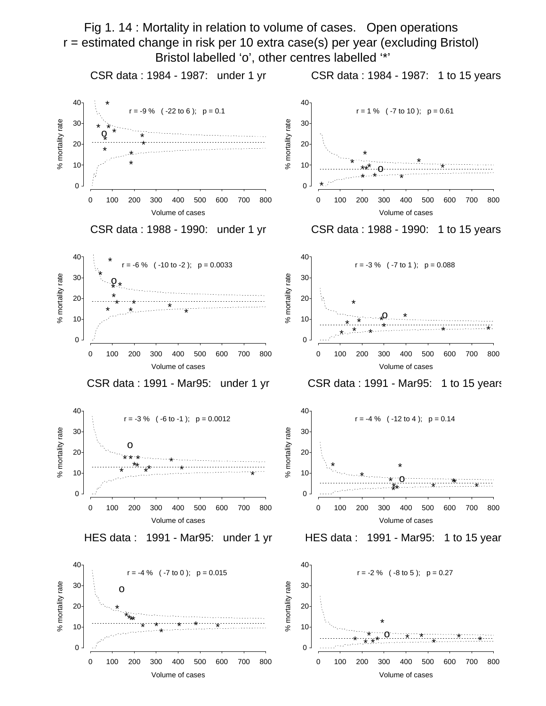Fig 1. 14 : Mortality in relation to volume of cases. Open operations r = estimated change in risk per 10 extra case(s) per year (excluding Bristol) Bristol labelled 'o', other centres labelled '\*'

CSR data : 1984 - 1987: under 1 yr

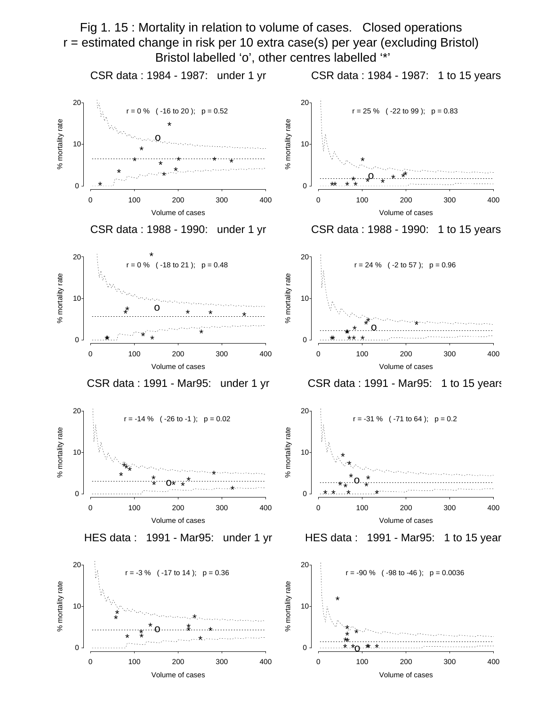Fig 1. 15 : Mortality in relation to volume of cases. Closed operations r = estimated change in risk per 10 extra case(s) per year (excluding Bristol) Bristol labelled 'o', other centres labelled '\*'

CSR data : 1984 - 1987: under 1 yr

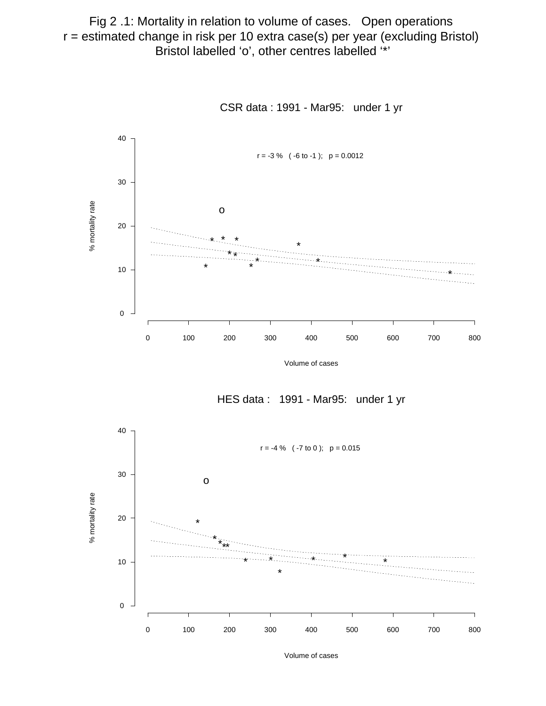Fig 2 .1: Mortality in relation to volume of cases. Open operations r = estimated change in risk per 10 extra case(s) per year (excluding Bristol) Bristol labelled 'o', other centres labelled '\*'



CSR data : 1991 - Mar95: under 1 yr

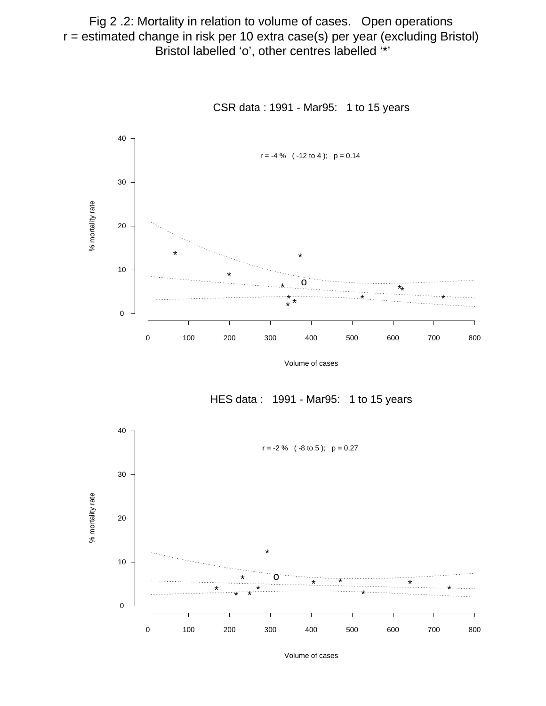Fig 2 .2: Mortality in relation to volume of cases. Open operations r = estimated change in risk per 10 extra case(s) per year (excluding Bristol) Bristol labelled 'o', other centres labelled '\*'



CSR data : 1991 - Mar95: 1 to 15 years

HES data : 1991 - Mar95: 1 to 15 years

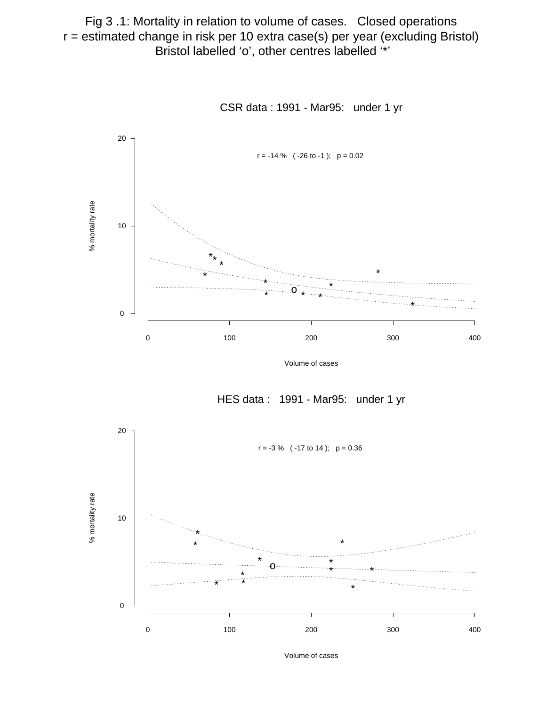Fig 3 .1: Mortality in relation to volume of cases. Closed operations r = estimated change in risk per 10 extra case(s) per year (excluding Bristol) Bristol labelled 'o', other centres labelled '\*'



CSR data : 1991 - Mar95: under 1 yr

Volume of cases

HES data : 1991 - Mar95: under 1 yr